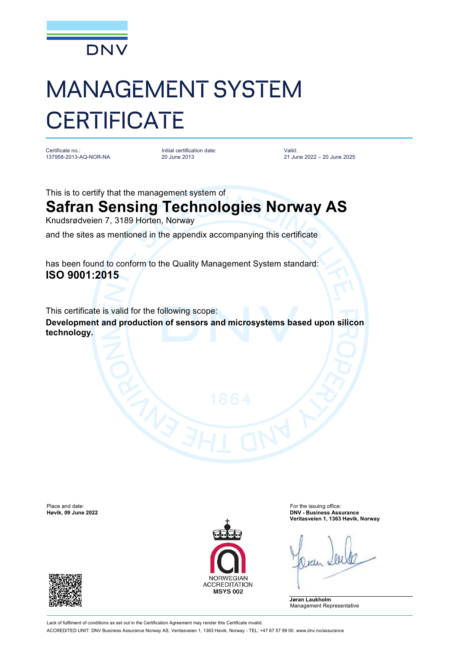

## MANAGEMENT SYSTEM **CERTIFICATE**

Certificate no.: 137958-2013-AQ-NOR-NA

Initial certification date: 20 June 2013

Valid: 21 June 2022 – 20 June 2025

This is to certify that the management system of

## **Safran Sensing Technologies Norway AS**

Knudsrødveien 7, 3189 Horten, Norway

and the sites as mentioned in the appendix accompanying this certificate

has been found to conform to the Quality Management System standard: **ISO 9001:2015**

This certificate is valid for the following scope:

**Development and production of sensors and microsystems based upon silicon technology.**

Place and date: For the issuing office:<br> **Place and date:** For the issuing office:<br> **Place and date:** For the issuing office: For the issuing office: For the issuing office:





**Høvik, 09 June 2022 DNV - Business Assurance Veritasveien 1, 1363 Høvik, Norway**

**Jøran Laukholm** Management Representative